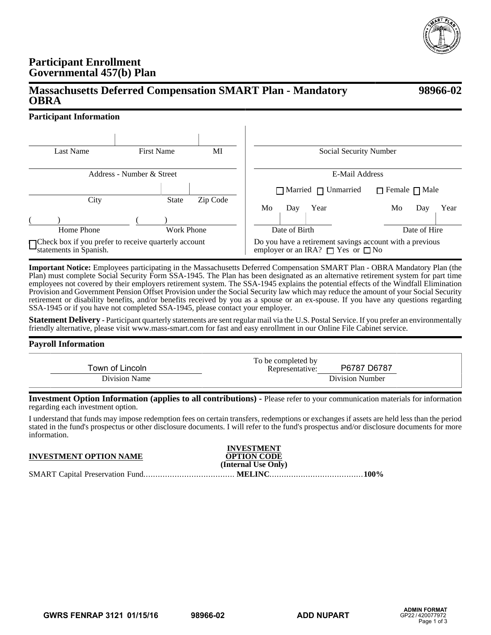

## **Participant Enrollment Governmental 457(b) Plan**

## **Massachusetts Deferred Compensation SMART Plan - Mandatory OBRA**

# **98966-02**

## **Participant Information**

| Last Name                                                                             | <b>First Name</b> | MI             | Social Security Number                                                                                  |                           |  |
|---------------------------------------------------------------------------------------|-------------------|----------------|---------------------------------------------------------------------------------------------------------|---------------------------|--|
| Address - Number & Street                                                             |                   | E-Mail Address |                                                                                                         |                           |  |
| City                                                                                  | <b>State</b>      | Zip Code       | $\Box$ Married $\Box$ Unmarried                                                                         | $\Box$ Female $\Box$ Male |  |
|                                                                                       |                   |                | Mo<br>Year<br>Day                                                                                       | Mo<br>Year<br>Day         |  |
| Home Phone                                                                            | Work Phone        |                | Date of Birth                                                                                           | Date of Hire              |  |
| $\Box$ Check box if you prefer to receive quarterly account<br>statements in Spanish. |                   |                | Do you have a retirement savings account with a previous<br>employer or an IRA? $\Box$ Yes or $\Box$ No |                           |  |

**Important Notice:** Employees participating in the Massachusetts Deferred Compensation SMART Plan - OBRA Mandatory Plan (the Plan) must complete Social Security Form SSA-1945. The Plan has been designated as an alternative retirement system for part time employees not covered by their employers retirement system. The SSA-1945 explains the potential effects of the Windfall Elimination Provision and Government Pension Offset Provision under the Social Security law which may reduce the amount of your Social Security retirement or disability benefits, and/or benefits received by you as a spouse or an ex-spouse. If you have any questions regarding SSA-1945 or if you have not completed SSA-1945, please contact your employer.

**Statement Delivery -** Participant quarterly statements are sent regular mail via the U.S. Postal Service. If you prefer an environmentally friendly alternative, please visit www.mass-smart.com for fast and easy enrollment in our Online File Cabinet service.

### **Payroll Information**

| Town of Lincoln | To be completed by<br>Representative: | P6787 D6787     |
|-----------------|---------------------------------------|-----------------|
| Division Name   |                                       | Division Number |

**Investment Option Information (applies to all contributions) -** Please refer to your communication materials for information regarding each investment option.

I understand that funds may impose redemption fees on certain transfers, redemptions or exchanges if assets are held less than the period stated in the fund's prospectus or other disclosure documents. I will refer to the fund's prospectus and/or disclosure documents for more information.

| <b>INVESTMENT OPTION NAME</b> | <b>INVESTMENT</b><br><b>OPTION CODE</b><br>(Internal Use Only) |  |
|-------------------------------|----------------------------------------------------------------|--|
|                               |                                                                |  |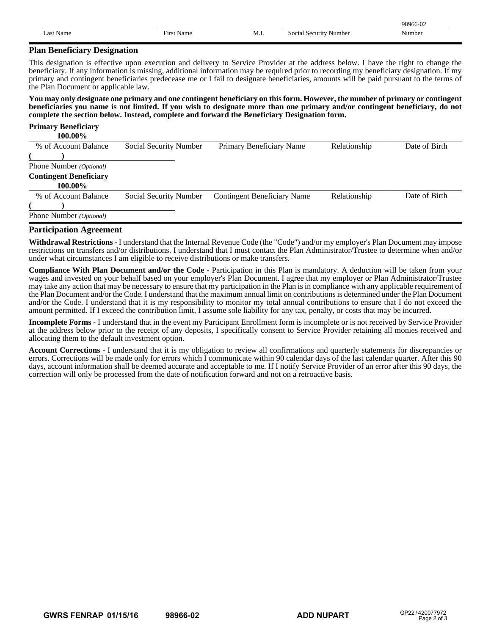|                |                           |      |                                    | 98966-02 |
|----------------|---------------------------|------|------------------------------------|----------|
| . .ast<br>Name | $- \cdot$<br>Name<br>Firs | M.I. | social<br>Security<br>Number<br>эc | vumbei   |

### **Plan Beneficiary Designation**

This designation is effective upon execution and delivery to Service Provider at the address below. I have the right to change the beneficiary. If any information is missing, additional information may be required prior to recording my beneficiary designation. If my primary and contingent beneficiaries predecease me or I fail to designate beneficiaries, amounts will be paid pursuant to the terms of the Plan Document or applicable law.

**You may only designate one primary and one contingent beneficiary on this form. However, the number of primary or contingent beneficiaries you name is not limited. If you wish to designate more than one primary and/or contingent beneficiary, do not complete the section below. Instead, complete and forward the Beneficiary Designation form.**

| <b>Primary Beneficiary</b>    |                        |                                    |              |               |
|-------------------------------|------------------------|------------------------------------|--------------|---------------|
| 100.00%                       |                        |                                    |              |               |
| % of Account Balance          | Social Security Number | Primary Beneficiary Name           | Relationship | Date of Birth |
|                               |                        |                                    |              |               |
| Phone Number (Optional)       |                        |                                    |              |               |
| <b>Contingent Beneficiary</b> |                        |                                    |              |               |
| 100.00%                       |                        |                                    |              |               |
| % of Account Balance          | Social Security Number | <b>Contingent Beneficiary Name</b> | Relationship | Date of Birth |
|                               |                        |                                    |              |               |
| Phone Number (Optional)       |                        |                                    |              |               |

### **Participation Agreement**

**Withdrawal Restrictions -** I understand that the Internal Revenue Code (the "Code") and/or my employer's Plan Document may impose restrictions on transfers and/or distributions. I understand that I must contact the Plan Administrator/Trustee to determine when and/or under what circumstances I am eligible to receive distributions or make transfers.

**Compliance With Plan Document and/or the Code -** Participation in this Plan is mandatory. A deduction will be taken from your wages and invested on your behalf based on your employer's Plan Document. I agree that my employer or Plan Administrator/Trustee may take any action that may be necessary to ensure that my participation in the Plan is in compliance with any applicable requirement of the Plan Document and/or the Code. I understand that the maximum annual limit on contributions is determined under the Plan Document and/or the Code. I understand that it is my responsibility to monitor my total annual contributions to ensure that I do not exceed the amount permitted. If I exceed the contribution limit, I assume sole liability for any tax, penalty, or costs that may be incurred.

**Incomplete Forms -** I understand that in the event my Participant Enrollment form is incomplete or is not received by Service Provider at the address below prior to the receipt of any deposits, I specifically consent to Service Provider retaining all monies received and allocating them to the default investment option.

**Account Corrections -** I understand that it is my obligation to review all confirmations and quarterly statements for discrepancies or errors. Corrections will be made only for errors which I communicate within 90 calendar days of the last calendar quarter. After this 90 days, account information shall be deemed accurate and acceptable to me. If I notify Service Provider of an error after this 90 days, the correction will only be processed from the date of notification forward and not on a retroactive basis.